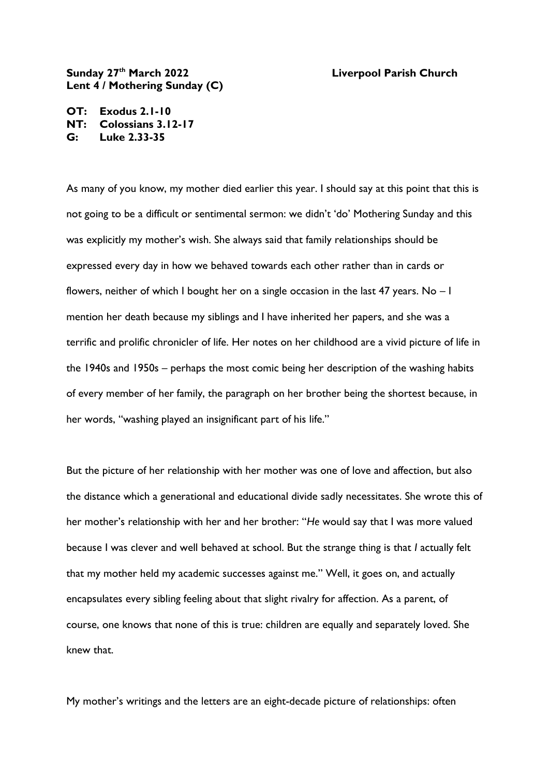## **Sunday 27th March 2022 Liverpool Parish Church Lent 4 / Mothering Sunday (C)**

**OT: Exodus 2.1-10 NT: Colossians 3.12-17 G: Luke 2.33-35**

As many of you know, my mother died earlier this year. I should say at this point that this is not going to be a difficult or sentimental sermon: we didn't 'do' Mothering Sunday and this was explicitly my mother's wish. She always said that family relationships should be expressed every day in how we behaved towards each other rather than in cards or flowers, neither of which I bought her on a single occasion in the last 47 years. No – I mention her death because my siblings and I have inherited her papers, and she was a terrific and prolific chronicler of life. Her notes on her childhood are a vivid picture of life in the 1940s and 1950s – perhaps the most comic being her description of the washing habits of every member of her family, the paragraph on her brother being the shortest because, in her words, "washing played an insignificant part of his life."

But the picture of her relationship with her mother was one of love and affection, but also the distance which a generational and educational divide sadly necessitates. She wrote this of her mother's relationship with her and her brother: "*He* would say that I was more valued because I was clever and well behaved at school. But the strange thing is that *I* actually felt that my mother held my academic successes against me." Well, it goes on, and actually encapsulates every sibling feeling about that slight rivalry for affection. As a parent, of course, one knows that none of this is true: children are equally and separately loved. She knew that.

My mother's writings and the letters are an eight-decade picture of relationships: often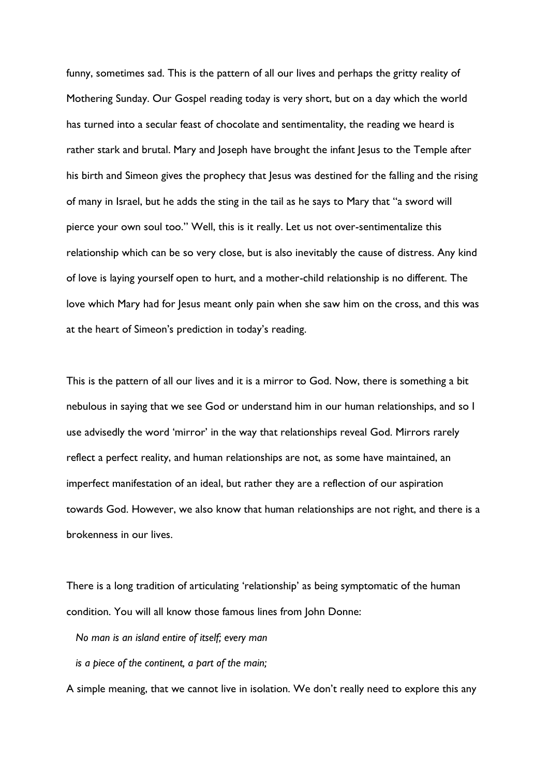funny, sometimes sad. This is the pattern of all our lives and perhaps the gritty reality of Mothering Sunday. Our Gospel reading today is very short, but on a day which the world has turned into a secular feast of chocolate and sentimentality, the reading we heard is rather stark and brutal. Mary and Joseph have brought the infant Jesus to the Temple after his birth and Simeon gives the prophecy that Jesus was destined for the falling and the rising of many in Israel, but he adds the sting in the tail as he says to Mary that "a sword will pierce your own soul too." Well, this is it really. Let us not over-sentimentalize this relationship which can be so very close, but is also inevitably the cause of distress. Any kind of love is laying yourself open to hurt, and a mother-child relationship is no different. The love which Mary had for Jesus meant only pain when she saw him on the cross, and this was at the heart of Simeon's prediction in today's reading.

This is the pattern of all our lives and it is a mirror to God. Now, there is something a bit nebulous in saying that we see God or understand him in our human relationships, and so I use advisedly the word 'mirror' in the way that relationships reveal God. Mirrors rarely reflect a perfect reality, and human relationships are not, as some have maintained, an imperfect manifestation of an ideal, but rather they are a reflection of our aspiration towards God. However, we also know that human relationships are not right, and there is a brokenness in our lives.

There is a long tradition of articulating 'relationship' as being symptomatic of the human condition. You will all know those famous lines from John Donne:

*No man is an island entire of itself; every man* 

*is a piece of the continent, a part of the main;*

A simple meaning, that we cannot live in isolation. We don't really need to explore this any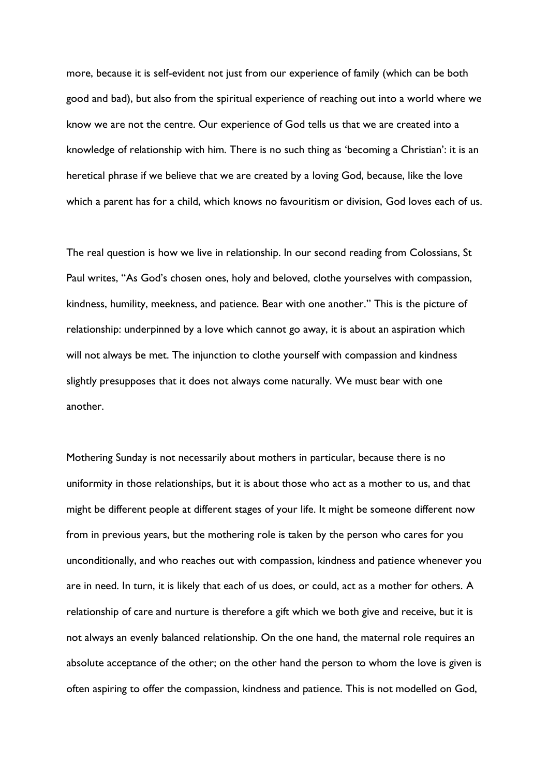more, because it is self-evident not just from our experience of family (which can be both good and bad), but also from the spiritual experience of reaching out into a world where we know we are not the centre. Our experience of God tells us that we are created into a knowledge of relationship with him. There is no such thing as 'becoming a Christian': it is an heretical phrase if we believe that we are created by a loving God, because, like the love which a parent has for a child, which knows no favouritism or division, God loves each of us.

The real question is how we live in relationship. In our second reading from Colossians, St Paul writes, "As God's chosen ones, holy and beloved, clothe yourselves with compassion, kindness, humility, meekness, and patience. Bear with one another." This is the picture of relationship: underpinned by a love which cannot go away, it is about an aspiration which will not always be met. The injunction to clothe yourself with compassion and kindness slightly presupposes that it does not always come naturally. We must bear with one another.

Mothering Sunday is not necessarily about mothers in particular, because there is no uniformity in those relationships, but it is about those who act as a mother to us, and that might be different people at different stages of your life. It might be someone different now from in previous years, but the mothering role is taken by the person who cares for you unconditionally, and who reaches out with compassion, kindness and patience whenever you are in need. In turn, it is likely that each of us does, or could, act as a mother for others. A relationship of care and nurture is therefore a gift which we both give and receive, but it is not always an evenly balanced relationship. On the one hand, the maternal role requires an absolute acceptance of the other; on the other hand the person to whom the love is given is often aspiring to offer the compassion, kindness and patience. This is not modelled on God,